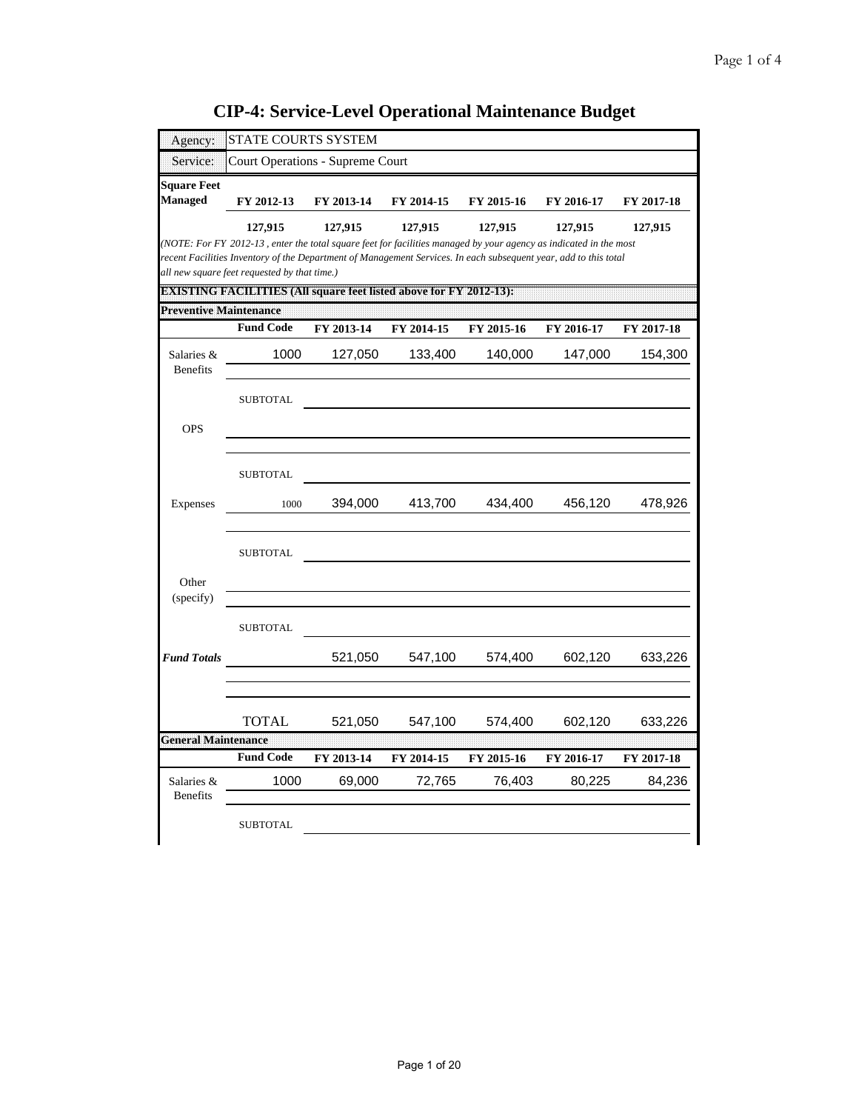| <b>CIP-4: Service-Level Operational Maintenance Budget</b> |  |  |
|------------------------------------------------------------|--|--|
|                                                            |  |  |

| Agency:                              | STATE COURTS SYSTEM                                                                                                                                                                                                                                                                              |            |            |            |            |            |
|--------------------------------------|--------------------------------------------------------------------------------------------------------------------------------------------------------------------------------------------------------------------------------------------------------------------------------------------------|------------|------------|------------|------------|------------|
| Service:                             | Court Operations - Supreme Court                                                                                                                                                                                                                                                                 |            |            |            |            |            |
| <b>Square Feet</b><br><b>Managed</b> | FY 2012-13                                                                                                                                                                                                                                                                                       | FY 2013-14 | FY 2014-15 | FY 2015-16 | FY 2016-17 | FY 2017-18 |
|                                      | 127,915<br>(NOTE: For FY 2012-13, enter the total square feet for facilities managed by your agency as indicated in the most<br>recent Facilities Inventory of the Department of Management Services. In each subsequent year, add to this total<br>all new square feet requested by that time.) | 127,915    | 127,915    | 127,915    | 127,915    | 127,915    |
| <b>Preventive Maintenance</b>        | DXISTI INCHEXULE ITI DSTAILSquare feet listed above for PM 2012. ISB                                                                                                                                                                                                                             |            |            |            |            |            |
|                                      | <b>Fund Code</b>                                                                                                                                                                                                                                                                                 | FY 2013-14 | FY 2014-15 | FY 2015-16 | FY 2016-17 | FY 2017-18 |
| Salaries &<br><b>Benefits</b>        | 1000                                                                                                                                                                                                                                                                                             | 127,050    | 133,400    | 140,000    | 147,000    | 154,300    |
|                                      | <b>SUBTOTAL</b>                                                                                                                                                                                                                                                                                  |            |            |            |            |            |
| <b>OPS</b>                           |                                                                                                                                                                                                                                                                                                  |            |            |            |            |            |
|                                      | <b>SUBTOTAL</b>                                                                                                                                                                                                                                                                                  |            |            |            |            |            |
| Expenses                             | 1000                                                                                                                                                                                                                                                                                             | 394,000    | 413,700    | 434,400    | 456,120    | 478,926    |
| Other<br>(specify)                   | <b>SUBTOTAL</b>                                                                                                                                                                                                                                                                                  |            |            |            |            |            |
|                                      | <b>SUBTOTAL</b>                                                                                                                                                                                                                                                                                  |            |            |            |            |            |
| <b>Fund Totals</b>                   |                                                                                                                                                                                                                                                                                                  | 521,050    | 547,100    | 574,400    | 602,120    | 633,226    |
| <b>General Maintenance</b>           | <b>TOTAL</b>                                                                                                                                                                                                                                                                                     | 521,050    | 547,100    | 574,400    | 602,120    | 633,226    |
|                                      | <b>Fund Code</b>                                                                                                                                                                                                                                                                                 | FY 2013-14 | FY 2014-15 | FY 2015-16 | FY 2016-17 | FY 2017-18 |
| Salaries &<br><b>Benefits</b>        | 1000                                                                                                                                                                                                                                                                                             | 69,000     | 72,765     | 76,403     | 80,225     | 84,236     |
|                                      | <b>SUBTOTAL</b>                                                                                                                                                                                                                                                                                  |            |            |            |            |            |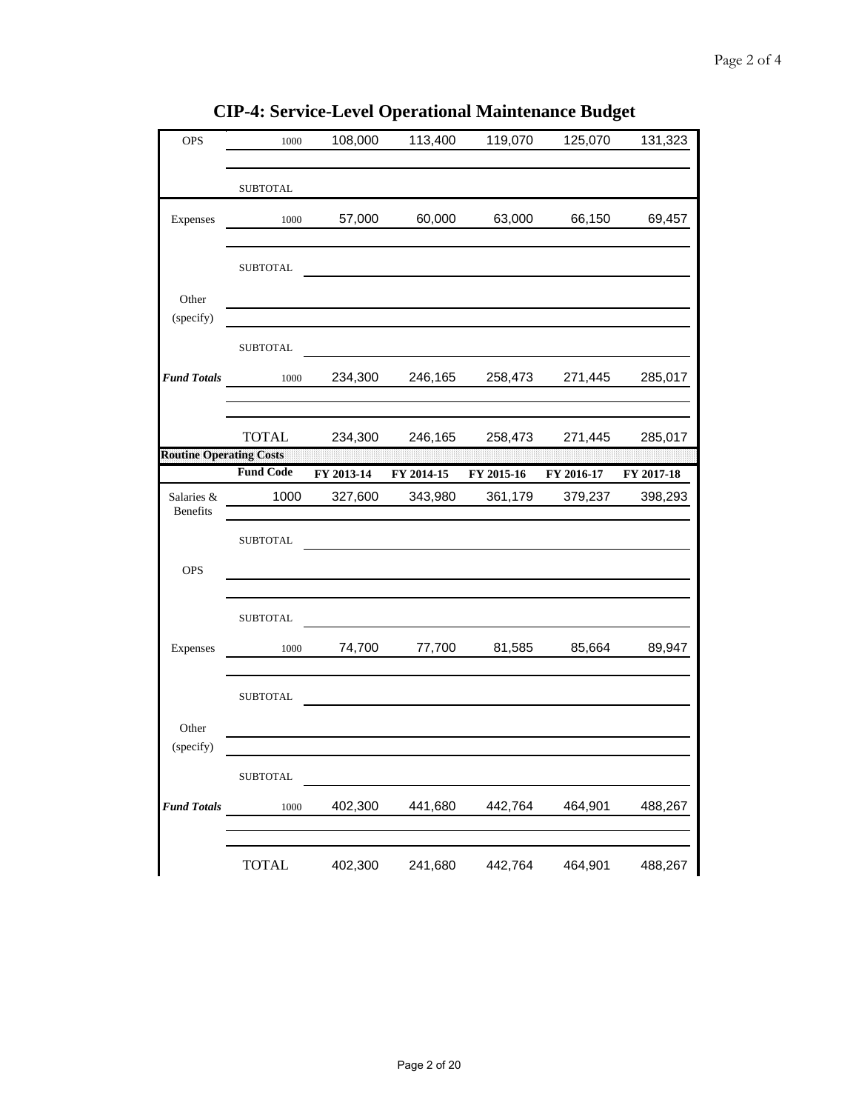| <b>OPS</b>                     | 1000             | 108,000    | 113,400    | 119,070    | 125,070    | 131,323    |
|--------------------------------|------------------|------------|------------|------------|------------|------------|
|                                | <b>SUBTOTAL</b>  |            |            |            |            |            |
| Expenses                       | 1000             | 57,000     | 60,000     | 63,000     | 66,150     | 69,457     |
|                                | <b>SUBTOTAL</b>  |            |            |            |            |            |
| Other<br>(specify)             |                  |            |            |            |            |            |
|                                | <b>SUBTOTAL</b>  |            |            |            |            |            |
| <b>Fund Totals</b>             | 1000             | 234,300    | 246,165    | 258,473    | 271,445    | 285,017    |
|                                | <b>TOTAL</b>     | 234,300    | 246,165    | 258,473    | 271,445    | 285,017    |
| <b>Routine Operating Costs</b> | <b>Fund Code</b> | FY 2013-14 | FY 2014-15 | FY 2015-16 | FY 2016-17 | FY 2017-18 |
| Salaries &<br><b>Benefits</b>  | 1000             | 327,600    | 343,980    | 361,179    | 379,237    | 398,293    |
|                                | <b>SUBTOTAL</b>  |            |            |            |            |            |
| <b>OPS</b>                     |                  |            |            |            |            |            |
|                                | <b>SUBTOTAL</b>  |            |            |            |            |            |
| Expenses                       | 1000             | 74,700     | 77,700     | 81,585     | 85,664     | 89,947     |
|                                | <b>SUBTOTAL</b>  |            |            |            |            |            |
| Other<br>(specify)             |                  |            |            |            |            |            |
|                                | SUBTOTAL         |            |            |            |            |            |
| <b>Fund Totals</b>             | 1000             | 402,300    | 441,680    | 442,764    | 464,901    | 488,267    |
|                                | <b>TOTAL</b>     | 402,300    | 241,680    | 442,764    | 464,901    | 488,267    |

**CIP-4: Service-Level Operational Maintenance Budget**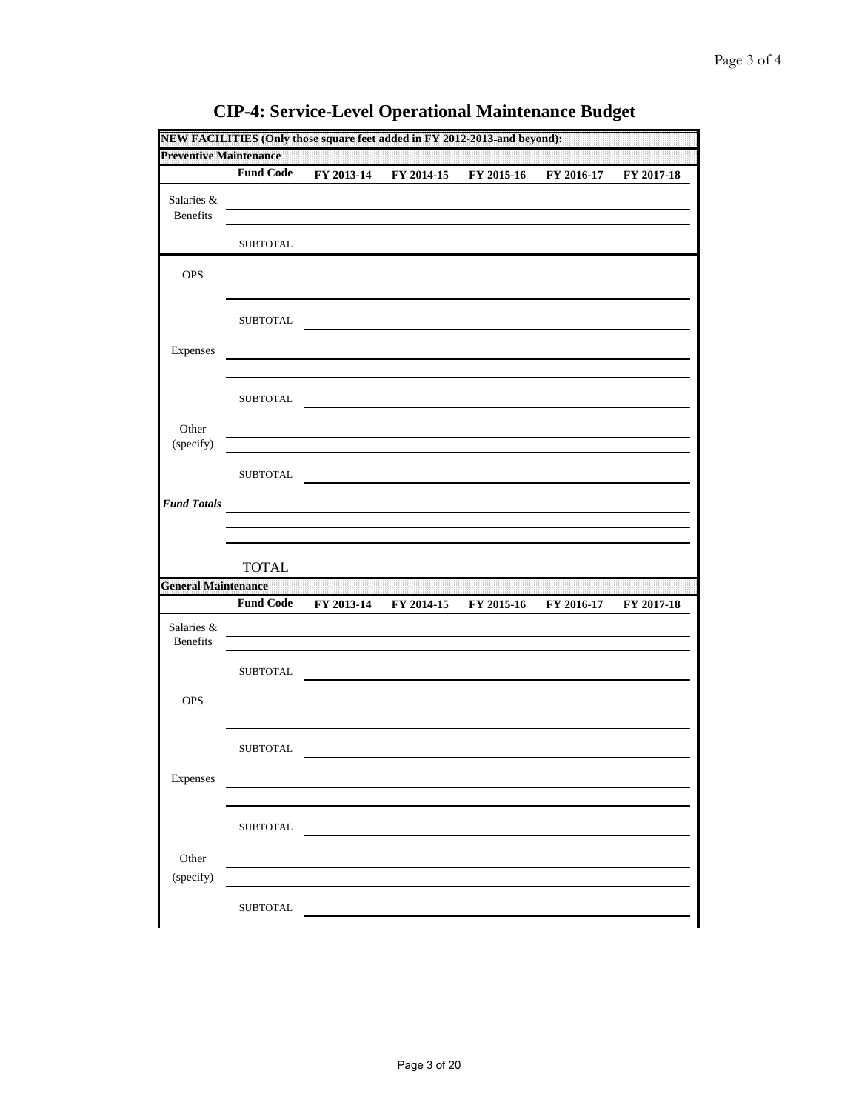| <b>Preventive Maintenance</b> |                  |            |            |            |            |            |
|-------------------------------|------------------|------------|------------|------------|------------|------------|
|                               | <b>Fund Code</b> | FY 2013-14 | FY 2014-15 | FY 2015-16 | FY 2016-17 | FY 2017-18 |
| Salaries &<br>Benefits        |                  |            |            |            |            |            |
|                               | <b>SUBTOTAL</b>  |            |            |            |            |            |
| OPS                           |                  |            |            |            |            |            |
|                               | <b>SUBTOTAL</b>  |            |            |            |            |            |
| Expenses                      |                  |            |            |            |            |            |
|                               | <b>SUBTOTAL</b>  |            |            |            |            |            |
| Other<br>(specify)            |                  |            |            |            |            |            |
|                               | <b>SUBTOTAL</b>  |            |            |            |            |            |
| <b>Fund Totals</b>            |                  |            |            |            |            |            |
|                               |                  |            |            |            |            |            |
|                               |                  |            |            |            |            |            |
|                               | <b>TOTAL</b>     |            |            |            |            |            |
|                               |                  |            |            |            |            |            |
| Salaries &<br>Benefits        | <b>Fund Code</b> | FY 2013-14 | FY 2014-15 | FY 2015-16 | FY 2016-17 | FY 2017-18 |
| <b>General Maintenance</b>    | <b>SUBTOTAL</b>  |            |            |            |            |            |
| <b>OPS</b>                    |                  |            |            |            |            |            |
|                               | <b>SUBTOTAL</b>  |            |            |            |            |            |
| Expenses                      |                  |            |            |            |            |            |
|                               | SUBTOTAL         |            |            |            |            |            |
| Other<br>(specify)            |                  |            |            |            |            |            |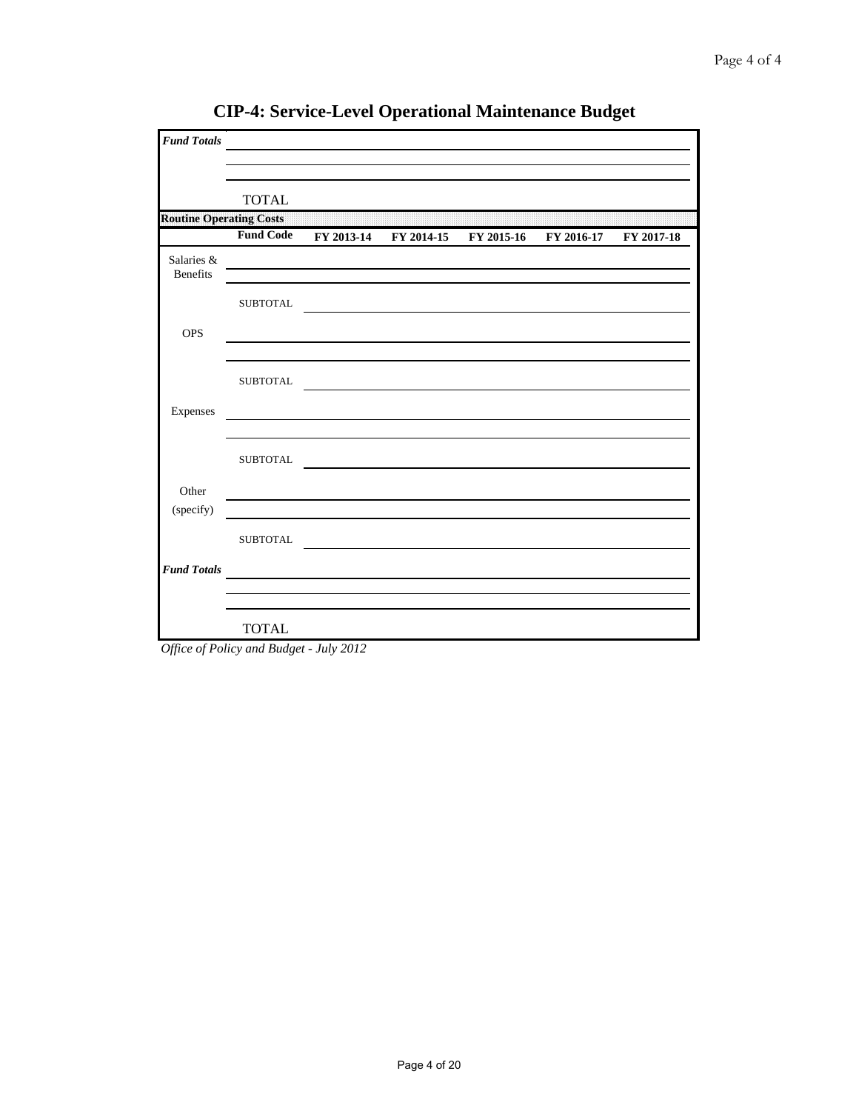| <b>Fund Totals</b>             |                  | <u> 1989 - Johann Barbara, martxa alemaniar a</u> |                                                                                                                      |            |
|--------------------------------|------------------|---------------------------------------------------|----------------------------------------------------------------------------------------------------------------------|------------|
|                                |                  |                                                   |                                                                                                                      |            |
|                                | <b>TOTAL</b>     |                                                   |                                                                                                                      |            |
| <b>Routine Operating Costs</b> |                  |                                                   |                                                                                                                      |            |
|                                | <b>Fund Code</b> |                                                   | FY 2013-14 FY 2014-15 FY 2015-16 FY 2016-17                                                                          | FY 2017-18 |
| Salaries &<br><b>Benefits</b>  |                  |                                                   |                                                                                                                      |            |
|                                | ${\tt SUBTOTAL}$ |                                                   | <u> 1980 - Jan Sterlin Sterlin Sterlin Sterlin Sterlin Sterlin Sterlin Sterlin Sterlin Sterlin Sterlin Sterlin S</u> |            |
| <b>OPS</b>                     |                  |                                                   |                                                                                                                      |            |
|                                | <b>SUBTOTAL</b>  |                                                   |                                                                                                                      |            |
| Expenses                       |                  |                                                   |                                                                                                                      |            |
|                                | <b>SUBTOTAL</b>  |                                                   |                                                                                                                      |            |
| Other                          |                  |                                                   |                                                                                                                      |            |
| (specify)                      |                  |                                                   |                                                                                                                      |            |
|                                | <b>SUBTOTAL</b>  |                                                   |                                                                                                                      |            |
| <b>Fund Totals</b>             |                  |                                                   |                                                                                                                      |            |
|                                |                  |                                                   |                                                                                                                      |            |
|                                | <b>TOTAL</b>     |                                                   |                                                                                                                      |            |

**CIP-4: Service-Level Operational Maintenance Budget**

*Office of Policy and Budget - July 2012*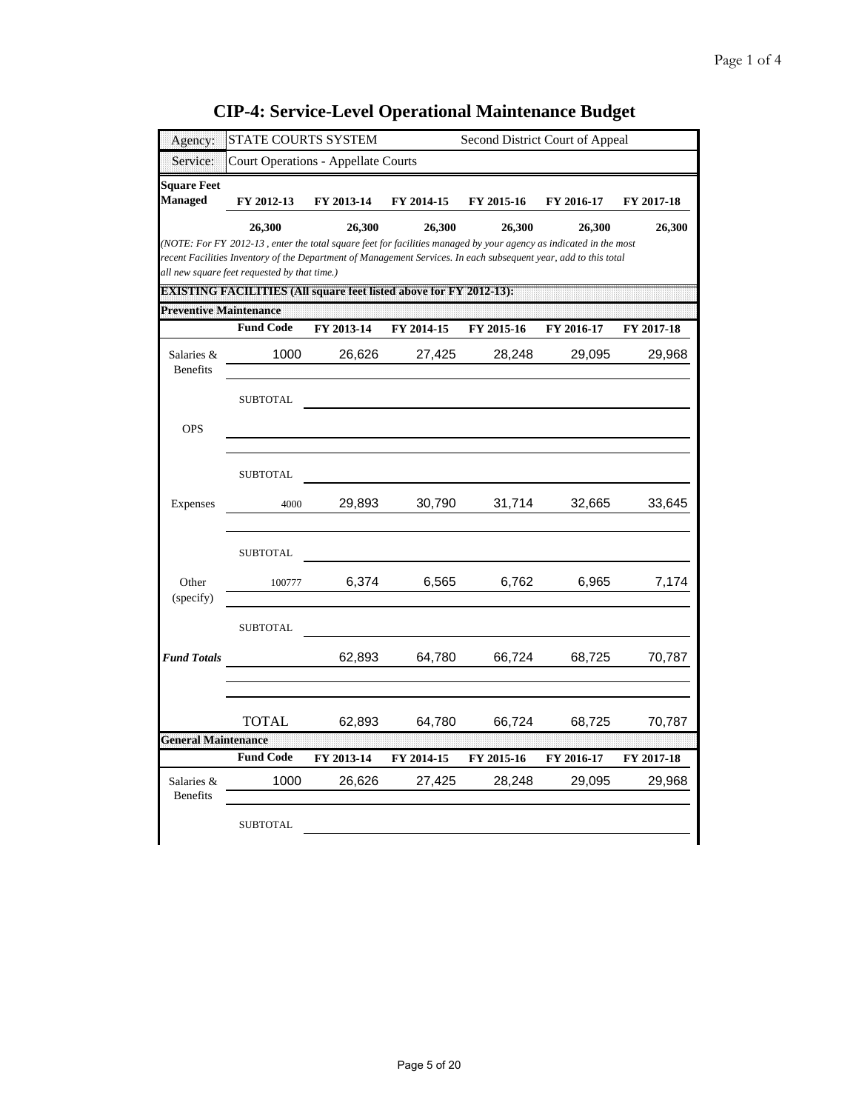| Agency:                              | STATE COURTS SYSTEM                                                                                                                                                                                                                                                                                                                                                          |                                            |            | Second District Court of Appeal |            |            |
|--------------------------------------|------------------------------------------------------------------------------------------------------------------------------------------------------------------------------------------------------------------------------------------------------------------------------------------------------------------------------------------------------------------------------|--------------------------------------------|------------|---------------------------------|------------|------------|
| Service:                             |                                                                                                                                                                                                                                                                                                                                                                              | <b>Court Operations - Appellate Courts</b> |            |                                 |            |            |
| <b>Square Feet</b><br><b>Managed</b> | FY 2012-13                                                                                                                                                                                                                                                                                                                                                                   | FY 2013-14                                 | FY 2014-15 | FY 2015-16                      | FY 2016-17 | FY 2017-18 |
|                                      | 26,300<br>(NOTE: For FY 2012-13, enter the total square feet for facilities managed by your agency as indicated in the most<br>recent Facilities Inventory of the Department of Management Services. In each subsequent year, add to this total<br>all new square feet requested by that time.)<br><b>EXISTING FACILITIES (All square feet listed above for FY 2012-13):</b> | 26,300                                     | 26,300     | 26,300                          | 26,300     | 26,300     |
| <b>Preventive Maintenance</b>        |                                                                                                                                                                                                                                                                                                                                                                              |                                            |            |                                 |            |            |
|                                      | <b>Fund Code</b>                                                                                                                                                                                                                                                                                                                                                             | FY 2013-14                                 | FY 2014-15 | FY 2015-16                      | FY 2016-17 | FY 2017-18 |
| Salaries &<br><b>Benefits</b>        | 1000                                                                                                                                                                                                                                                                                                                                                                         | 26,626                                     | 27,425     | 28,248                          | 29,095     | 29,968     |
|                                      | <b>SUBTOTAL</b>                                                                                                                                                                                                                                                                                                                                                              |                                            |            |                                 |            |            |
| <b>OPS</b>                           |                                                                                                                                                                                                                                                                                                                                                                              |                                            |            |                                 |            |            |
|                                      | <b>SUBTOTAL</b>                                                                                                                                                                                                                                                                                                                                                              |                                            |            |                                 |            |            |
| Expenses                             | 4000                                                                                                                                                                                                                                                                                                                                                                         | 29,893                                     | 30,790     | 31,714                          | 32,665     | 33,645     |
|                                      | <b>SUBTOTAL</b>                                                                                                                                                                                                                                                                                                                                                              |                                            |            |                                 |            |            |
| Other<br>(specify)                   | 100777                                                                                                                                                                                                                                                                                                                                                                       | 6,374                                      | 6,565      | 6,762                           | 6,965      | 7,174      |
|                                      | <b>SUBTOTAL</b>                                                                                                                                                                                                                                                                                                                                                              |                                            |            |                                 |            |            |
| <b>Fund Totals</b>                   |                                                                                                                                                                                                                                                                                                                                                                              | 62,893                                     | 64,780     | 66,724                          | 68,725     | 70,787     |
|                                      | TOTAL                                                                                                                                                                                                                                                                                                                                                                        | 62,893                                     | 64,780     | 66,724                          | 68,725     | 70,787     |
| <b>General Maintenance</b>           | <b>Fund Code</b>                                                                                                                                                                                                                                                                                                                                                             | FY 2013-14                                 | FY 2014-15 | FY 2015-16                      | FY 2016-17 | FY 2017-18 |
| Salaries &<br><b>Benefits</b>        | 1000                                                                                                                                                                                                                                                                                                                                                                         | 26,626                                     | 27,425     | 28,248                          | 29,095     | 29,968     |
|                                      | <b>SUBTOTAL</b>                                                                                                                                                                                                                                                                                                                                                              |                                            |            |                                 |            |            |

**CIP-4: Service-Level Operational Maintenance Budget**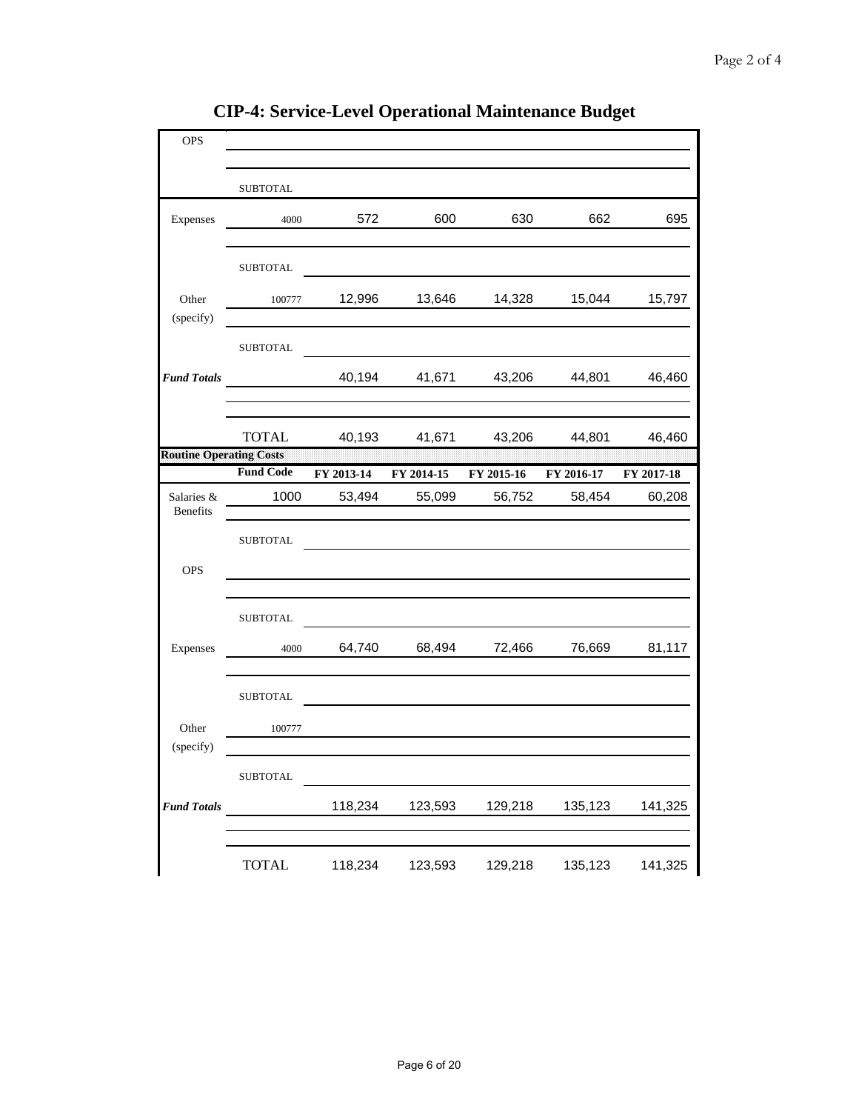| <b>OPS</b>                     |                  |            |            |            |            |            |
|--------------------------------|------------------|------------|------------|------------|------------|------------|
|                                |                  |            |            |            |            |            |
|                                | <b>SUBTOTAL</b>  |            |            |            |            |            |
| Expenses                       | 4000             | 572        | 600        | 630        | 662        | 695        |
|                                | <b>SUBTOTAL</b>  |            |            |            |            |            |
| Other<br>(specify)             | 100777           | 12,996     | 13,646     | 14,328     | 15,044     | 15,797     |
|                                | <b>SUBTOTAL</b>  |            |            |            |            |            |
| <b>Fund Totals</b>             |                  | 40,194     | 41,671     | 43,206     | 44,801     | 46,460     |
|                                | <b>TOTAL</b>     | 40,193     | 41,671     | 43,206     | 44,801     | 46,460     |
| <b>Routine Operating Costs</b> |                  |            |            |            |            |            |
|                                | <b>Fund Code</b> | FY 2013-14 | FY 2014-15 | FY 2015-16 | FY 2016-17 | FY 2017-18 |
| Salaries &<br><b>Benefits</b>  | 1000             | 53,494     | 55,099     | 56,752     | 58,454     | 60,208     |
|                                | <b>SUBTOTAL</b>  |            |            |            |            |            |
| <b>OPS</b>                     |                  |            |            |            |            |            |
|                                | <b>SUBTOTAL</b>  |            |            |            |            |            |
| Expenses                       | 4000             | 64,740     | 68,494     | 72,466     | 76,669     | 81,117     |
|                                | <b>SUBTOTAL</b>  |            |            |            |            |            |
| Other                          | 100777           |            |            |            |            |            |
| (specify)                      |                  |            |            |            |            |            |
|                                | <b>SUBTOTAL</b>  |            |            |            |            |            |
| <b>Fund Totals</b>             |                  | 118,234    | 123,593    | 129,218    | 135,123    | 141,325    |
|                                | <b>TOTAL</b>     | 118,234    | 123,593    | 129,218    | 135,123    | 141,325    |

**CIP-4: Service-Level Operational Maintenance Budget**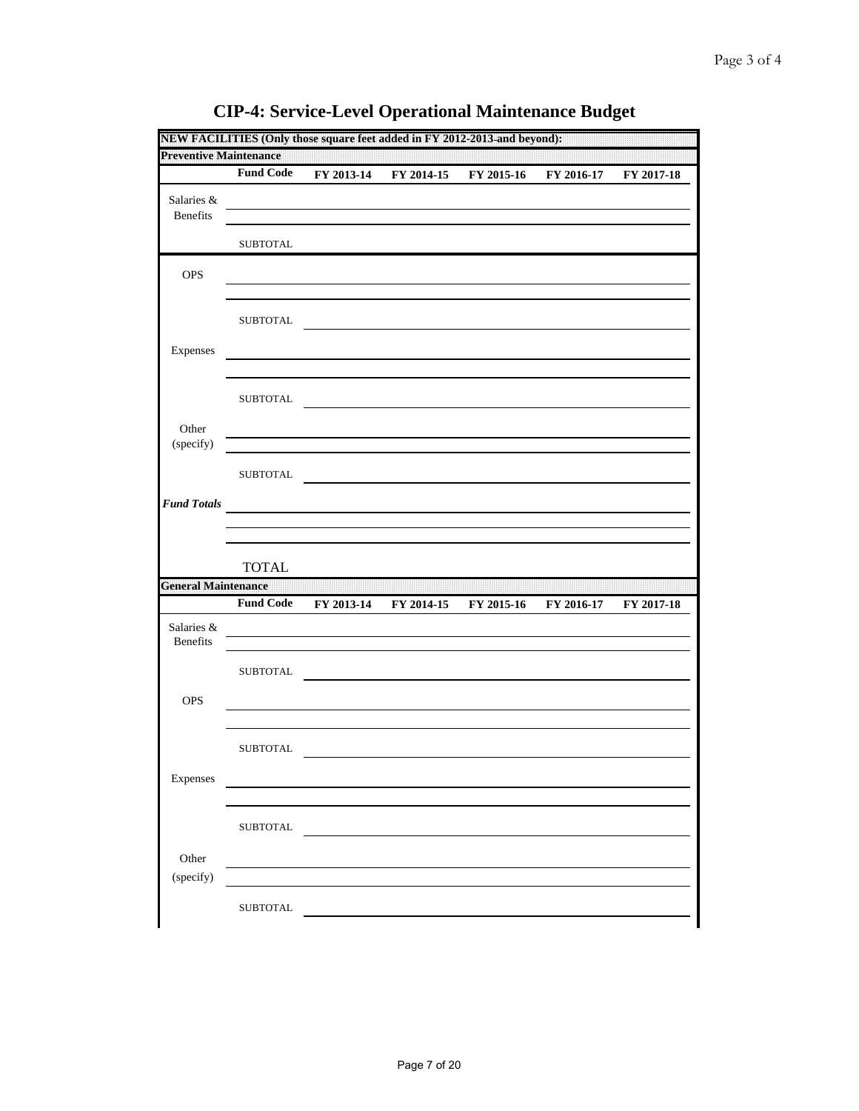| <b>Preventive Maintenance</b> |                  |            |            |            |            |            |
|-------------------------------|------------------|------------|------------|------------|------------|------------|
|                               | <b>Fund Code</b> | FY 2013-14 | FY 2014-15 | FY 2015-16 | FY 2016-17 | FY 2017-18 |
| Salaries &<br>Benefits        |                  |            |            |            |            |            |
|                               | <b>SUBTOTAL</b>  |            |            |            |            |            |
| OPS                           |                  |            |            |            |            |            |
|                               | <b>SUBTOTAL</b>  |            |            |            |            |            |
| Expenses                      |                  |            |            |            |            |            |
|                               | <b>SUBTOTAL</b>  |            |            |            |            |            |
| Other<br>(specify)            |                  |            |            |            |            |            |
|                               | <b>SUBTOTAL</b>  |            |            |            |            |            |
| <b>Fund Totals</b>            |                  |            |            |            |            |            |
|                               |                  |            |            |            |            |            |
|                               |                  |            |            |            |            |            |
|                               | <b>TOTAL</b>     |            |            |            |            |            |
|                               |                  |            |            |            |            |            |
| Salaries &<br>Benefits        | <b>Fund Code</b> | FY 2013-14 | FY 2014-15 | FY 2015-16 | FY 2016-17 | FY 2017-18 |
| <b>General Maintenance</b>    | <b>SUBTOTAL</b>  |            |            |            |            |            |
| <b>OPS</b>                    |                  |            |            |            |            |            |
|                               | <b>SUBTOTAL</b>  |            |            |            |            |            |
| Expenses                      |                  |            |            |            |            |            |
|                               | SUBTOTAL         |            |            |            |            |            |
| Other<br>(specify)            |                  |            |            |            |            |            |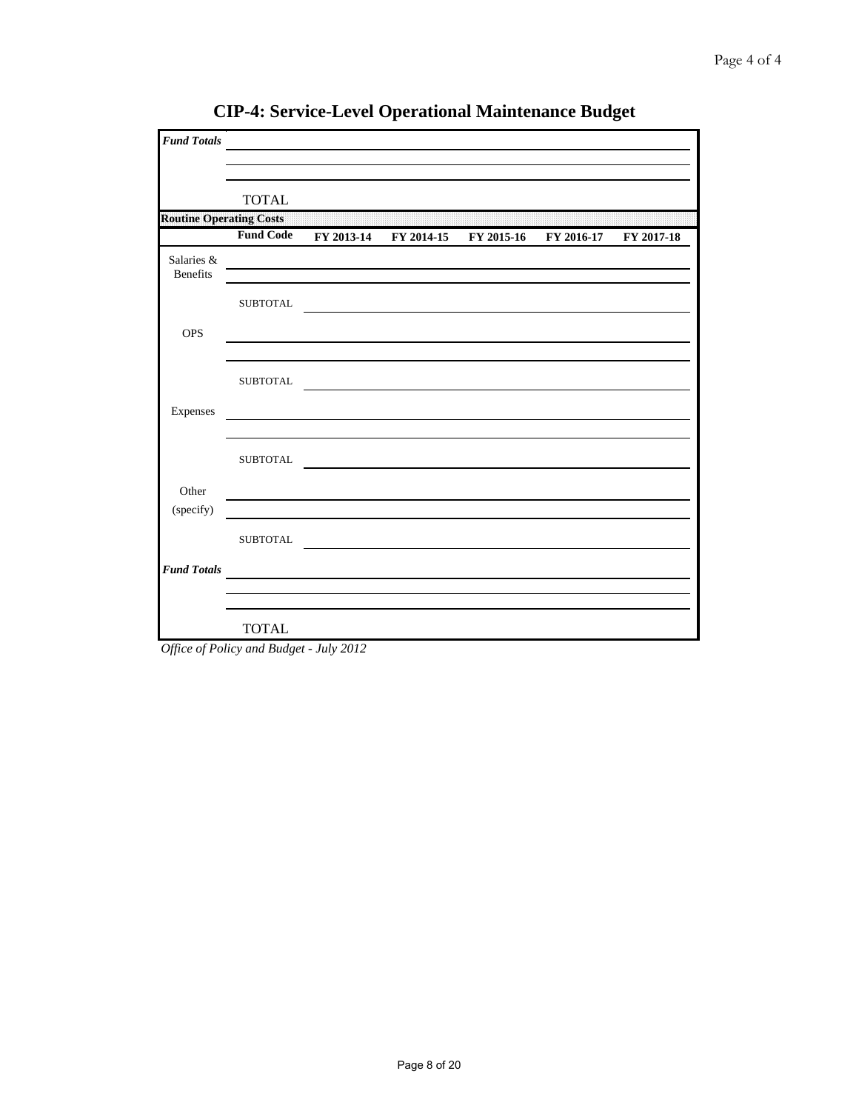| <b>Fund Totals</b>             |                 |                                                                                                                 |                                                       |            |
|--------------------------------|-----------------|-----------------------------------------------------------------------------------------------------------------|-------------------------------------------------------|------------|
|                                | <b>TOTAL</b>    |                                                                                                                 |                                                       |            |
| <b>Routine Operating Costs</b> |                 |                                                                                                                 |                                                       |            |
|                                |                 |                                                                                                                 | Fund Code FY 2013-14 FY 2014-15 FY 2015-16 FY 2016-17 | FY 2017-18 |
| Salaries &<br><b>Benefits</b>  |                 |                                                                                                                 |                                                       |            |
|                                | <b>SUBTOTAL</b> |                                                                                                                 |                                                       |            |
| <b>OPS</b>                     |                 |                                                                                                                 |                                                       |            |
|                                | <b>SUBTOTAL</b> |                                                                                                                 |                                                       |            |
| Expenses                       |                 |                                                                                                                 |                                                       |            |
|                                | <b>SUBTOTAL</b> |                                                                                                                 |                                                       |            |
| Other                          |                 |                                                                                                                 |                                                       |            |
| (specify)                      |                 |                                                                                                                 |                                                       |            |
|                                | <b>SUBTOTAL</b> |                                                                                                                 |                                                       |            |
| <b>Fund Totals</b>             |                 | the contract of the contract of the contract of the contract of the contract of the contract of the contract of |                                                       |            |
|                                | <b>TOTAL</b>    |                                                                                                                 |                                                       |            |

**CIP-4: Service-Level Operational Maintenance Budget**

*Office of Policy and Budget - July 2012*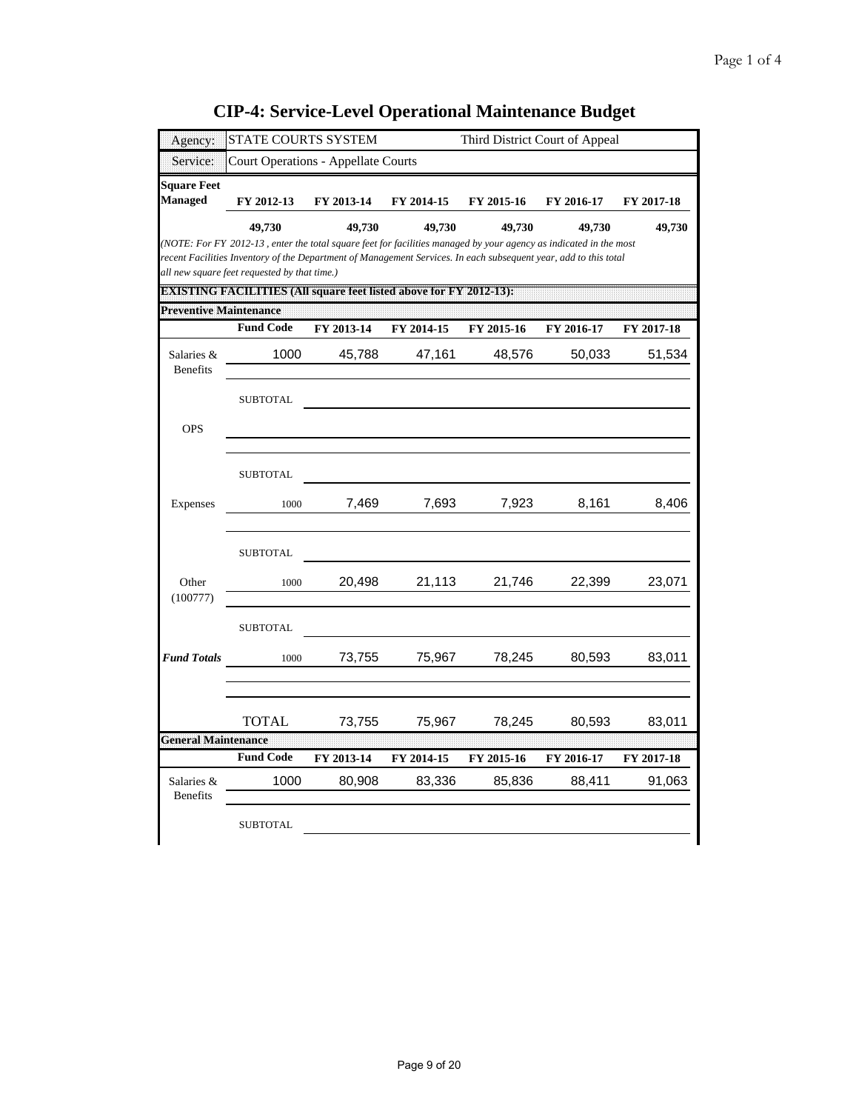| Agency:                              | STATE COURTS SYSTEM                                                                                                                                                                                                                                                                   |            |            |            | Third District Court of Appeal |            |
|--------------------------------------|---------------------------------------------------------------------------------------------------------------------------------------------------------------------------------------------------------------------------------------------------------------------------------------|------------|------------|------------|--------------------------------|------------|
| Service:                             | <b>Court Operations - Appellate Courts</b>                                                                                                                                                                                                                                            |            |            |            |                                |            |
| <b>Square Feet</b><br><b>Managed</b> | FY 2012-13                                                                                                                                                                                                                                                                            | FY 2013-14 | FY 2014-15 | FY 2015-16 | FY 2016-17                     | FY 2017-18 |
|                                      | 49,730                                                                                                                                                                                                                                                                                | 49,730     | 49,730     | 49,730     | 49,730                         | 49,730     |
|                                      | (NOTE: For FY 2012-13, enter the total square feet for facilities managed by your agency as indicated in the most<br>recent Facilities Inventory of the Department of Management Services. In each subsequent year, add to this total<br>all new square feet requested by that time.) |            |            |            |                                |            |
|                                      | DAY ISTUING TEANGLE THULDSTALLISQUARE IGG LISTG LADOVE TOTEN TEALERS T                                                                                                                                                                                                                |            |            |            |                                |            |
| <b>Preventive Maintenance</b>        | <b>Fund Code</b>                                                                                                                                                                                                                                                                      | FY 2013-14 | FY 2014-15 | FY 2015-16 | FY 2016-17                     | FY 2017-18 |
| Salaries &<br><b>Benefits</b>        | 1000                                                                                                                                                                                                                                                                                  | 45,788     | 47,161     | 48,576     | 50,033                         | 51,534     |
|                                      | <b>SUBTOTAL</b>                                                                                                                                                                                                                                                                       |            |            |            |                                |            |
| <b>OPS</b>                           |                                                                                                                                                                                                                                                                                       |            |            |            |                                |            |
|                                      | <b>SUBTOTAL</b>                                                                                                                                                                                                                                                                       |            |            |            |                                |            |
| Expenses                             | 1000                                                                                                                                                                                                                                                                                  | 7,469      | 7,693      | 7,923      | 8,161                          | 8,406      |
|                                      | <b>SUBTOTAL</b>                                                                                                                                                                                                                                                                       |            |            |            |                                |            |
| Other<br>(100777)                    | 1000                                                                                                                                                                                                                                                                                  | 20,498     | 21,113     | 21,746     | 22,399                         | 23,071     |
|                                      | <b>SUBTOTAL</b>                                                                                                                                                                                                                                                                       |            |            |            |                                |            |
| <b>Fund Totals</b>                   | 1000                                                                                                                                                                                                                                                                                  | 73,755     | 75,967     | 78,245     | 80,593                         | 83,011     |
|                                      | <b>TOTAL</b>                                                                                                                                                                                                                                                                          | 73,755     | 75,967     | 78,245     | 80,593                         | 83,011     |
| <b>General Maintenance</b>           | <b>Fund Code</b>                                                                                                                                                                                                                                                                      | FY 2013-14 | FY 2014-15 | FY 2015-16 | FY 2016-17                     | FY 2017-18 |
| Salaries &<br><b>Benefits</b>        | 1000                                                                                                                                                                                                                                                                                  | 80,908     | 83,336     | 85,836     | 88,411                         | 91,063     |
|                                      | <b>SUBTOTAL</b>                                                                                                                                                                                                                                                                       |            |            |            |                                |            |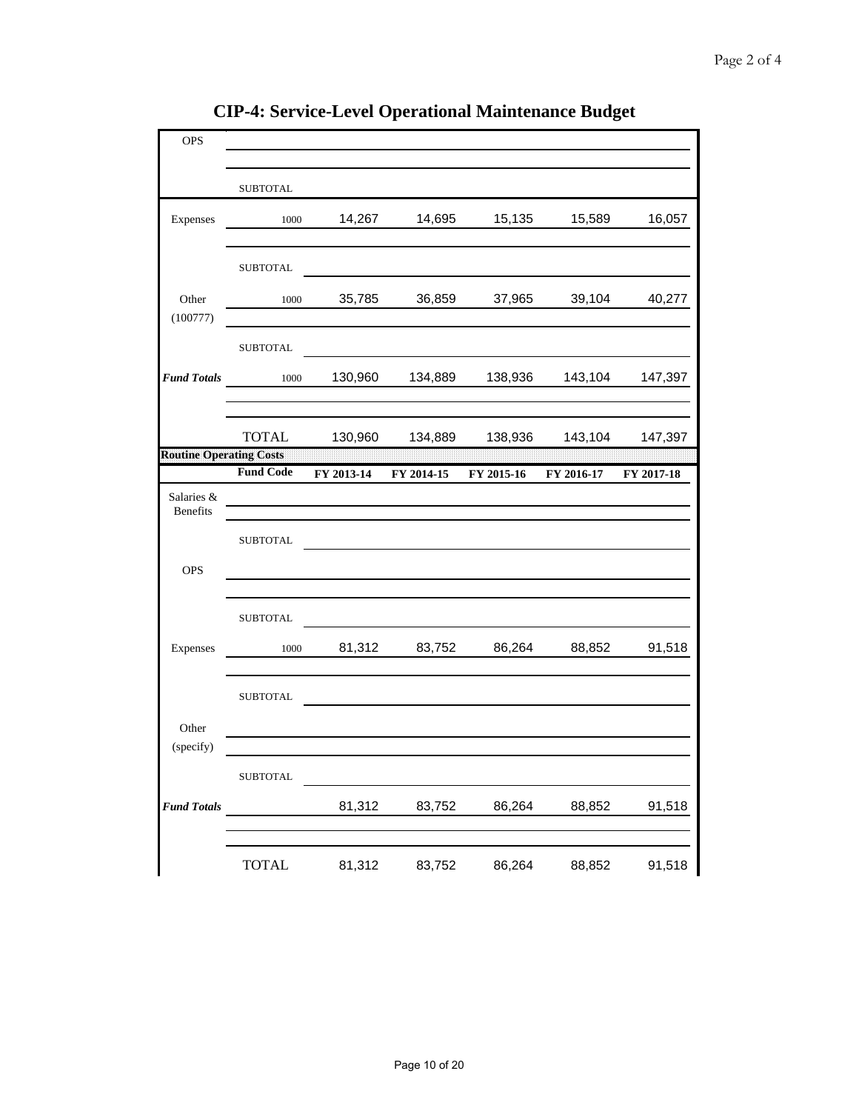| OPS                            |                  |            |            |            |            |            |
|--------------------------------|------------------|------------|------------|------------|------------|------------|
|                                |                  |            |            |            |            |            |
|                                | <b>SUBTOTAL</b>  |            |            |            |            |            |
| Expenses                       | 1000             | 14,267     | 14,695     | 15,135     | 15,589     | 16,057     |
|                                | ${\tt SUBTOTAL}$ |            |            |            |            |            |
| Other<br>(100777)              | 1000             | 35,785     | 36,859     | 37,965     | 39,104     | 40,277     |
|                                | <b>SUBTOTAL</b>  |            |            |            |            |            |
| <b>Fund Totals</b>             | 1000             | 130,960    | 134,889    | 138,936    | 143,104    | 147,397    |
|                                | <b>TOTAL</b>     | 130,960    | 134,889    | 138,936    | 143,104    | 147,397    |
| <b>Routine Operating Costs</b> |                  |            |            |            |            |            |
|                                | <b>Fund Code</b> | FY 2013-14 | FY 2014-15 | FY 2015-16 | FY 2016-17 | FY 2017-18 |
| Salaries &<br><b>Benefits</b>  |                  |            |            |            |            |            |
|                                | <b>SUBTOTAL</b>  |            |            |            |            |            |
| <b>OPS</b>                     |                  |            |            |            |            |            |
|                                | <b>SUBTOTAL</b>  |            |            |            |            |            |
| Expenses                       | 1000             | 81,312     | 83,752     | 86,264     | 88,852     | 91,518     |
|                                | <b>SUBTOTAL</b>  |            |            |            |            |            |
| Other<br>(specify)             |                  |            |            |            |            |            |
|                                | ${\tt SUBTOTAL}$ |            |            |            |            |            |
| <b>Fund Totals</b>             |                  | 81,312     | 83,752     | 86,264     | 88,852     | 91,518     |
|                                | <b>TOTAL</b>     | 81,312     | 83,752     | 86,264     | 88,852     | 91,518     |

**CIP-4: Service-Level Operational Maintenance Budget**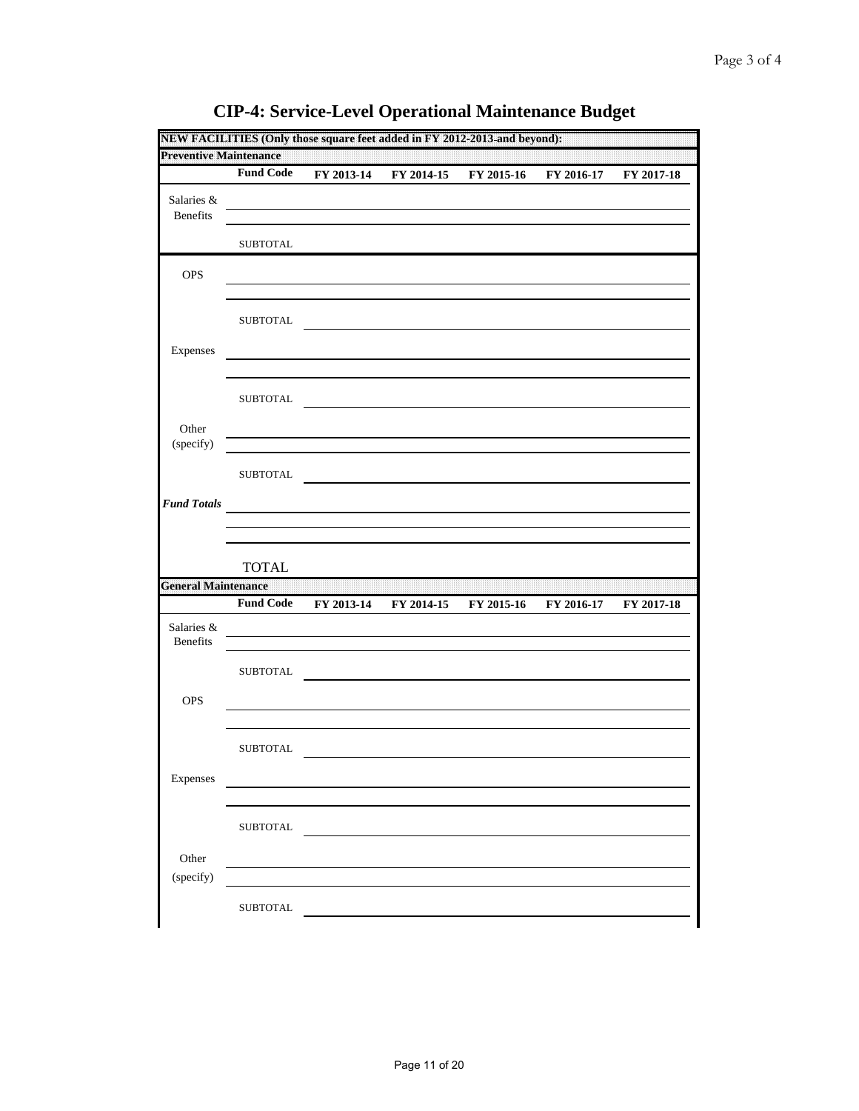| <b>Preventive Maintenance</b>          |                  |            |            |            |            |            |
|----------------------------------------|------------------|------------|------------|------------|------------|------------|
|                                        | <b>Fund Code</b> | FY 2013-14 | FY 2014-15 | FY 2015-16 | FY 2016-17 | FY 2017-18 |
| Salaries &<br><b>Benefits</b>          |                  |            |            |            |            |            |
|                                        | <b>SUBTOTAL</b>  |            |            |            |            |            |
| OPS                                    |                  |            |            |            |            |            |
|                                        | <b>SUBTOTAL</b>  |            |            |            |            |            |
| Expenses                               |                  |            |            |            |            |            |
|                                        | <b>SUBTOTAL</b>  |            |            |            |            |            |
| Other<br>(specify)                     |                  |            |            |            |            |            |
|                                        | <b>SUBTOTAL</b>  |            |            |            |            |            |
| <b>Fund Totals</b>                     |                  |            |            |            |            |            |
|                                        |                  |            |            |            |            |            |
|                                        |                  |            |            |            |            |            |
|                                        | <b>TOTAL</b>     |            |            |            |            |            |
|                                        | <b>Fund Code</b> | FY 2013-14 | FY 2014-15 | FY 2015-16 | FY 2016-17 | FY 2017-18 |
| Salaries &<br>Benefits                 |                  |            |            |            |            |            |
|                                        | ${\tt SUBTOTAL}$ |            |            |            |            |            |
| OPS                                    |                  |            |            |            |            |            |
|                                        | <b>SUBTOTAL</b>  |            |            |            |            |            |
| <b>General Maintenance</b><br>Expenses |                  |            |            |            |            |            |
|                                        | <b>SUBTOTAL</b>  |            |            |            |            |            |
| Other<br>(specify)                     |                  |            |            |            |            |            |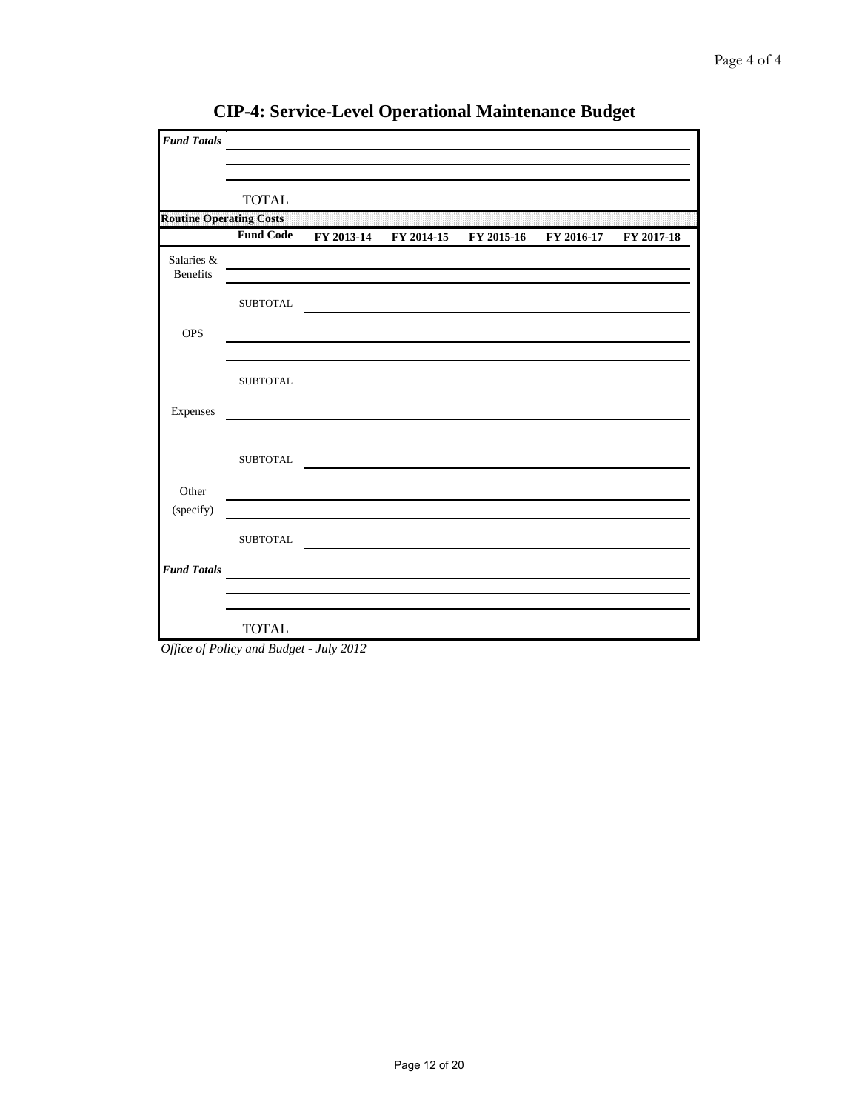| <b>Fund Totals</b>             |                  |  |                                             |            |
|--------------------------------|------------------|--|---------------------------------------------|------------|
|                                | <b>TOTAL</b>     |  |                                             |            |
| <b>Routine Operating Costs</b> |                  |  |                                             |            |
|                                | <b>Fund Code</b> |  | FY 2013-14 FY 2014-15 FY 2015-16 FY 2016-17 | FY 2017-18 |
| Salaries &<br><b>Benefits</b>  |                  |  |                                             |            |
|                                | <b>SUBTOTAL</b>  |  |                                             |            |
| <b>OPS</b>                     |                  |  |                                             |            |
|                                | <b>SUBTOTAL</b>  |  |                                             |            |
| Expenses                       |                  |  |                                             |            |
|                                | <b>SUBTOTAL</b>  |  |                                             |            |
| Other                          |                  |  |                                             |            |
| (specify)                      |                  |  |                                             |            |
|                                | <b>SUBTOTAL</b>  |  |                                             |            |
| <b>Fund Totals</b>             |                  |  |                                             |            |
|                                |                  |  |                                             |            |
|                                | <b>TOTAL</b>     |  |                                             |            |

**CIP-4: Service-Level Operational Maintenance Budget**

*Office of Policy and Budget - July 2012*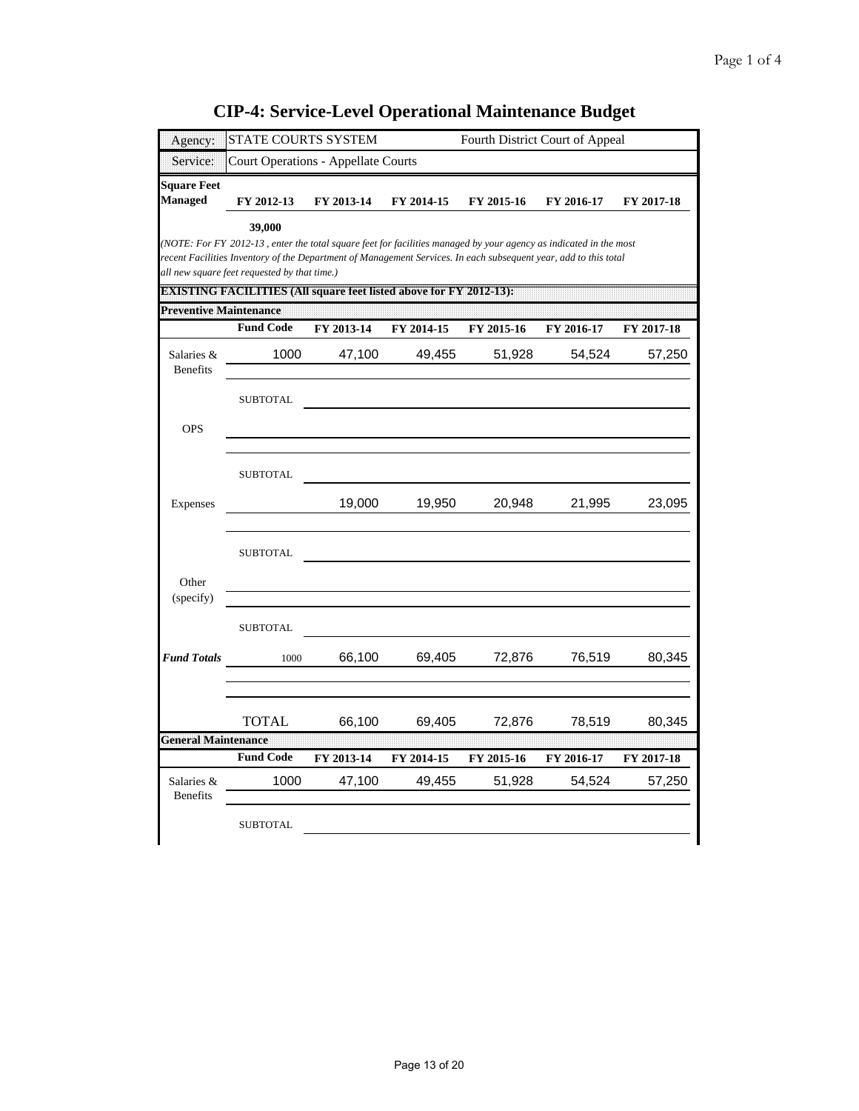| Agency:                              | STATE COURTS SYSTEM                                                                                                                                                                                                                                                                                                                                                    |            |                      | Fourth District Court of Appeal |                      |                      |
|--------------------------------------|------------------------------------------------------------------------------------------------------------------------------------------------------------------------------------------------------------------------------------------------------------------------------------------------------------------------------------------------------------------------|------------|----------------------|---------------------------------|----------------------|----------------------|
| Service:                             | <b>Court Operations - Appellate Courts</b>                                                                                                                                                                                                                                                                                                                             |            |                      |                                 |                      |                      |
| <b>Square Feet</b><br><b>Managed</b> | FY 2012-13                                                                                                                                                                                                                                                                                                                                                             | FY 2013-14 | FY 2014-15           | FY 2015-16                      | FY 2016-17           | FY 2017-18           |
|                                      | 39,000<br>(NOTE: For FY 2012-13, enter the total square feet for facilities managed by your agency as indicated in the most<br>recent Facilities Inventory of the Department of Management Services. In each subsequent year, add to this total<br>all new square feet requested by that time.)<br>DM SIN NGC MAO IB IN DSTAUS quare feed is to adove for A 720 PC 317 |            |                      |                                 |                      |                      |
| <b>Preventive Maintenance</b>        |                                                                                                                                                                                                                                                                                                                                                                        |            |                      |                                 |                      |                      |
|                                      | <b>Fund Code</b>                                                                                                                                                                                                                                                                                                                                                       | FY 2013-14 | FY 2014-15           | FY 2015-16                      | FY 2016-17           | FY 2017-18           |
| Salaries &<br><b>Benefits</b>        | 1000                                                                                                                                                                                                                                                                                                                                                                   | 47,100     | 49,455               | 51,928                          | 54,524               | 57,250               |
|                                      | <b>SUBTOTAL</b>                                                                                                                                                                                                                                                                                                                                                        |            |                      |                                 |                      |                      |
| <b>OPS</b>                           |                                                                                                                                                                                                                                                                                                                                                                        |            |                      |                                 |                      |                      |
|                                      | <b>SUBTOTAL</b>                                                                                                                                                                                                                                                                                                                                                        |            |                      |                                 |                      |                      |
| Expenses                             |                                                                                                                                                                                                                                                                                                                                                                        | 19,000     | 19,950               | 20,948                          | 21,995               | 23,095               |
|                                      | <b>SUBTOTAL</b>                                                                                                                                                                                                                                                                                                                                                        |            |                      |                                 |                      |                      |
| Other<br>(specify)                   |                                                                                                                                                                                                                                                                                                                                                                        |            |                      |                                 |                      |                      |
|                                      | <b>SUBTOTAL</b>                                                                                                                                                                                                                                                                                                                                                        |            |                      |                                 |                      |                      |
| <b>Fund Totals</b>                   | 1000                                                                                                                                                                                                                                                                                                                                                                   | 66,100     | 69,405               | 72,876                          | 76,519               | 80,345               |
|                                      | <b>TOTAL</b>                                                                                                                                                                                                                                                                                                                                                           | 66,100     | 69,405               | 72,876                          | 78,519               | 80,345               |
| <b>General Maintenance</b>           | <b>Fund Code</b>                                                                                                                                                                                                                                                                                                                                                       | FY 2013-14 |                      |                                 |                      |                      |
| Salaries &<br><b>Benefits</b>        | 1000                                                                                                                                                                                                                                                                                                                                                                   | 47,100     | FY 2014-15<br>49,455 | FY 2015-16<br>51,928            | FY 2016-17<br>54,524 | FY 2017-18<br>57,250 |
|                                      | <b>SUBTOTAL</b>                                                                                                                                                                                                                                                                                                                                                        |            |                      |                                 |                      |                      |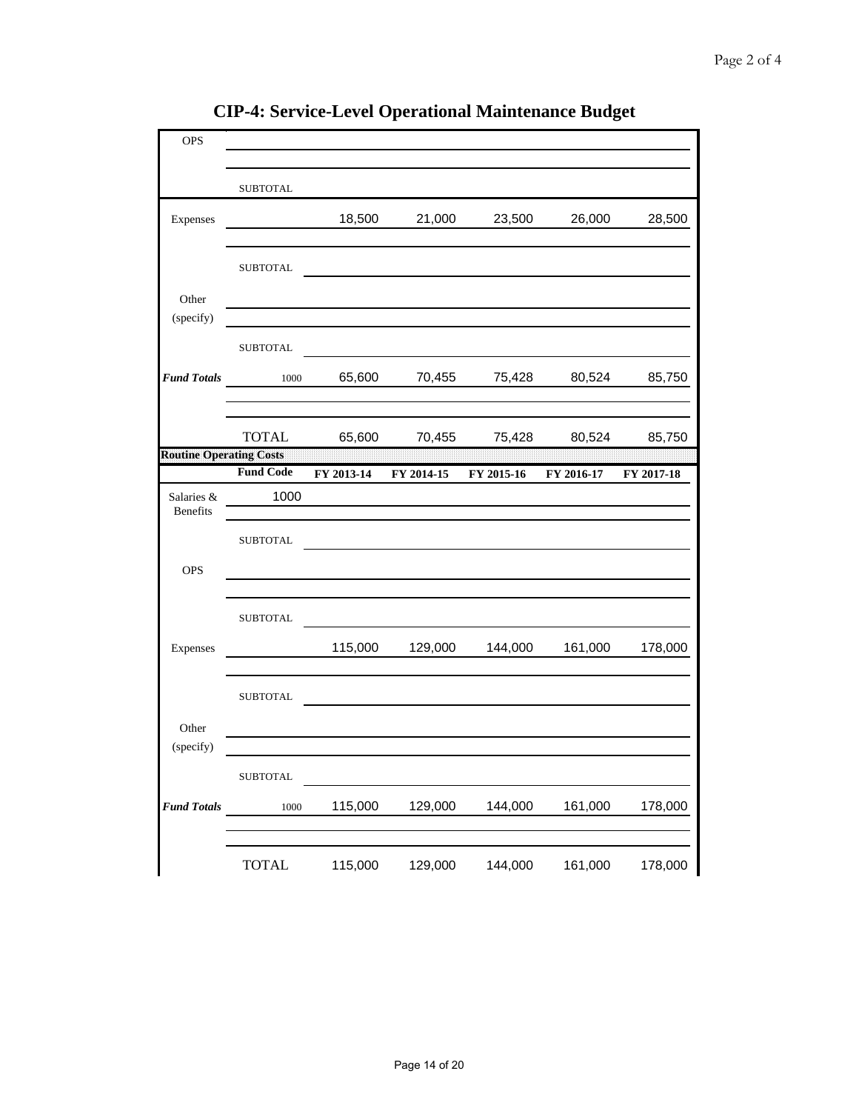| <b>OPS</b>                     |                  |            |            |            |            |            |
|--------------------------------|------------------|------------|------------|------------|------------|------------|
|                                |                  |            |            |            |            |            |
|                                | <b>SUBTOTAL</b>  |            |            |            |            |            |
| Expenses                       |                  | 18,500     | 21,000     | 23,500     | 26,000     | 28,500     |
|                                |                  |            |            |            |            |            |
|                                | <b>SUBTOTAL</b>  |            |            |            |            |            |
| Other<br>(specify)             |                  |            |            |            |            |            |
|                                | <b>SUBTOTAL</b>  |            |            |            |            |            |
| <b>Fund Totals</b>             | $1000\,$         | 65,600     | 70,455     | 75,428     | 80,524     | 85,750     |
|                                |                  |            |            |            |            |            |
|                                | <b>TOTAL</b>     | 65,600     | 70,455     | 75,428     | 80,524     | 85,750     |
| <b>Routine Operating Costs</b> |                  |            |            |            |            |            |
|                                | <b>Fund Code</b> | FY 2013-14 | FY 2014-15 | FY 2015-16 | FY 2016-17 | FY 2017-18 |
| Salaries &<br>Benefits         | 1000             |            |            |            |            |            |
|                                | <b>SUBTOTAL</b>  |            |            |            |            |            |
| <b>OPS</b>                     |                  |            |            |            |            |            |
|                                |                  |            |            |            |            |            |
|                                | <b>SUBTOTAL</b>  |            |            |            |            |            |
| Expenses                       |                  | 115,000    | 129,000    | 144,000    | 161,000    | 178,000    |
|                                |                  |            |            |            |            |            |
|                                | <b>SUBTOTAL</b>  |            |            |            |            |            |
| Other                          |                  |            |            |            |            |            |
| (specify)                      |                  |            |            |            |            |            |
|                                | SUBTOTAL         |            |            |            |            |            |
| <b>Fund Totals</b>             | 1000             | 115,000    | 129,000    | 144,000    | 161,000    | 178,000    |
|                                |                  |            |            |            |            |            |
|                                | <b>TOTAL</b>     | 115,000    | 129,000    | 144,000    | 161,000    | 178,000    |

**CIP-4: Service-Level Operational Maintenance Budget**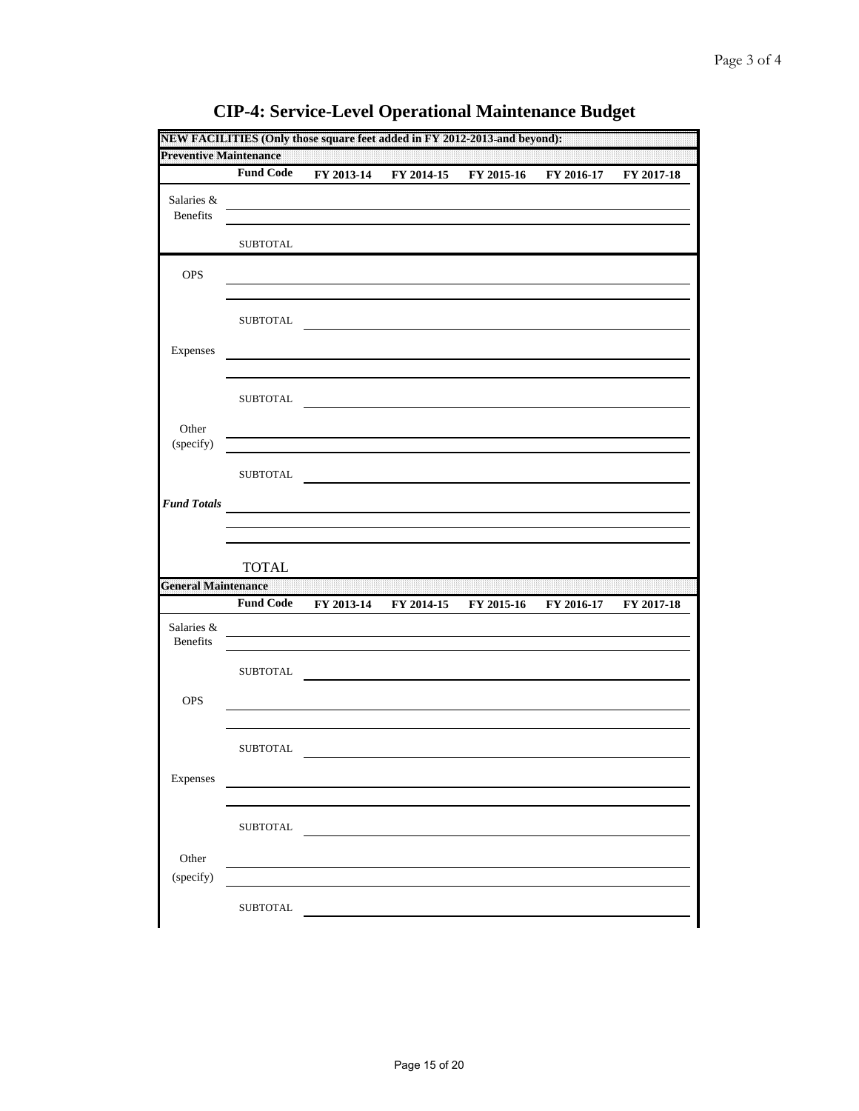| <b>Preventive Maintenance</b> |                  |            |            |            |            |            |
|-------------------------------|------------------|------------|------------|------------|------------|------------|
|                               | <b>Fund Code</b> | FY 2013-14 | FY 2014-15 | FY 2015-16 | FY 2016-17 | FY 2017-18 |
| Salaries &<br><b>Benefits</b> |                  |            |            |            |            |            |
|                               | <b>SUBTOTAL</b>  |            |            |            |            |            |
| OPS                           |                  |            |            |            |            |            |
|                               | <b>SUBTOTAL</b>  |            |            |            |            |            |
| Expenses                      |                  |            |            |            |            |            |
|                               | <b>SUBTOTAL</b>  |            |            |            |            |            |
| Other<br>(specify)            |                  |            |            |            |            |            |
|                               | <b>SUBTOTAL</b>  |            |            |            |            |            |
| <b>Fund Totals</b>            |                  |            |            |            |            |            |
|                               |                  |            |            |            |            |            |
|                               |                  |            |            |            |            |            |
|                               | <b>TOTAL</b>     |            |            |            |            |            |
|                               | <b>Fund Code</b> | FY 2013-14 | FY 2014-15 | FY 2015-16 | FY 2016-17 | FY 2017-18 |
| Salaries &<br>Benefits        |                  |            |            |            |            |            |
|                               | ${\tt SUBTOTAL}$ |            |            |            |            |            |
| OPS                           |                  |            |            |            |            |            |
| <b>General Maintenance</b>    | <b>SUBTOTAL</b>  |            |            |            |            |            |
| Expenses                      |                  |            |            |            |            |            |
|                               | <b>SUBTOTAL</b>  |            |            |            |            |            |
| Other<br>(specify)            |                  |            |            |            |            |            |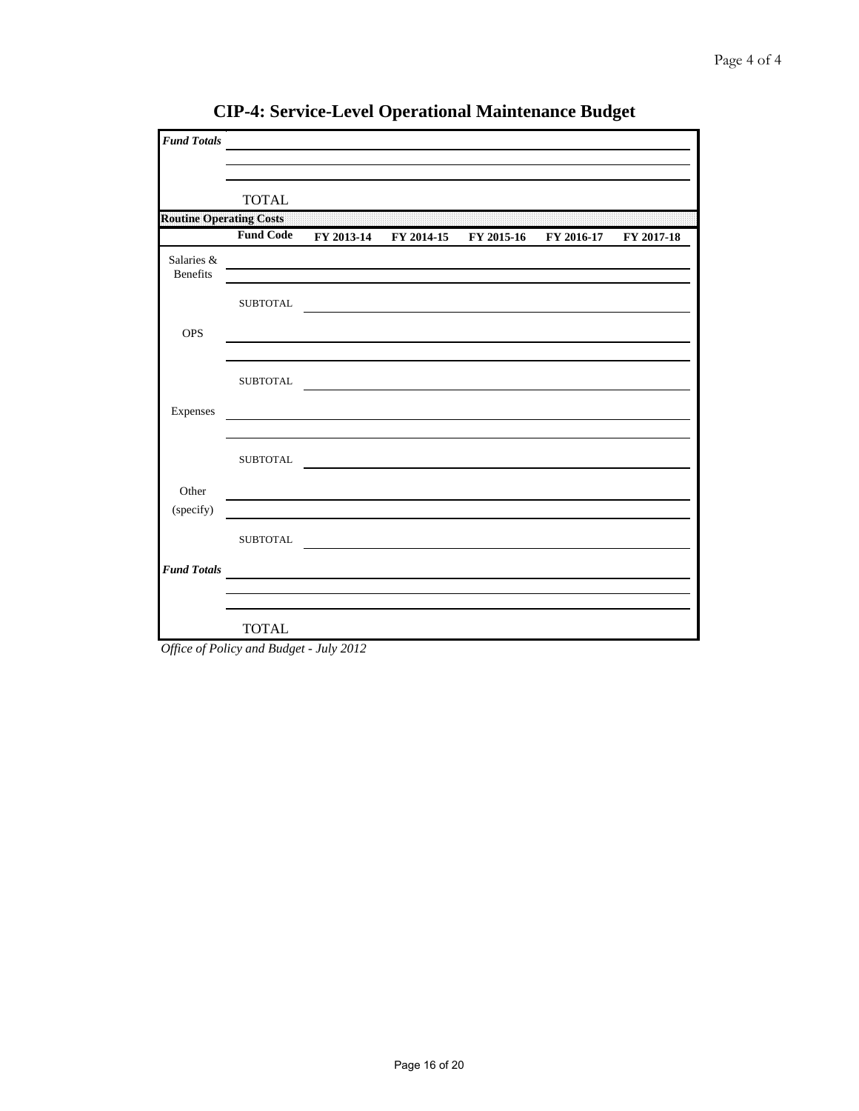| <b>Fund Totals</b>             |                  |  |                                             |            |
|--------------------------------|------------------|--|---------------------------------------------|------------|
|                                | <b>TOTAL</b>     |  |                                             |            |
| <b>Routine Operating Costs</b> |                  |  |                                             |            |
|                                | <b>Fund Code</b> |  | FY 2013-14 FY 2014-15 FY 2015-16 FY 2016-17 | FY 2017-18 |
| Salaries &<br>Benefits         |                  |  |                                             |            |
|                                | <b>SUBTOTAL</b>  |  |                                             |            |
| <b>OPS</b>                     |                  |  |                                             |            |
|                                | <b>SUBTOTAL</b>  |  |                                             |            |
| Expenses                       |                  |  |                                             |            |
|                                | <b>SUBTOTAL</b>  |  |                                             |            |
| Other                          |                  |  |                                             |            |
| (specify)                      |                  |  |                                             |            |
|                                | <b>SUBTOTAL</b>  |  |                                             |            |
| <b>Fund Totals</b>             |                  |  |                                             |            |
|                                |                  |  |                                             |            |
|                                | <b>TOTAL</b>     |  |                                             |            |

**CIP-4: Service-Level Operational Maintenance Budget**

*Office of Policy and Budget - July 2012*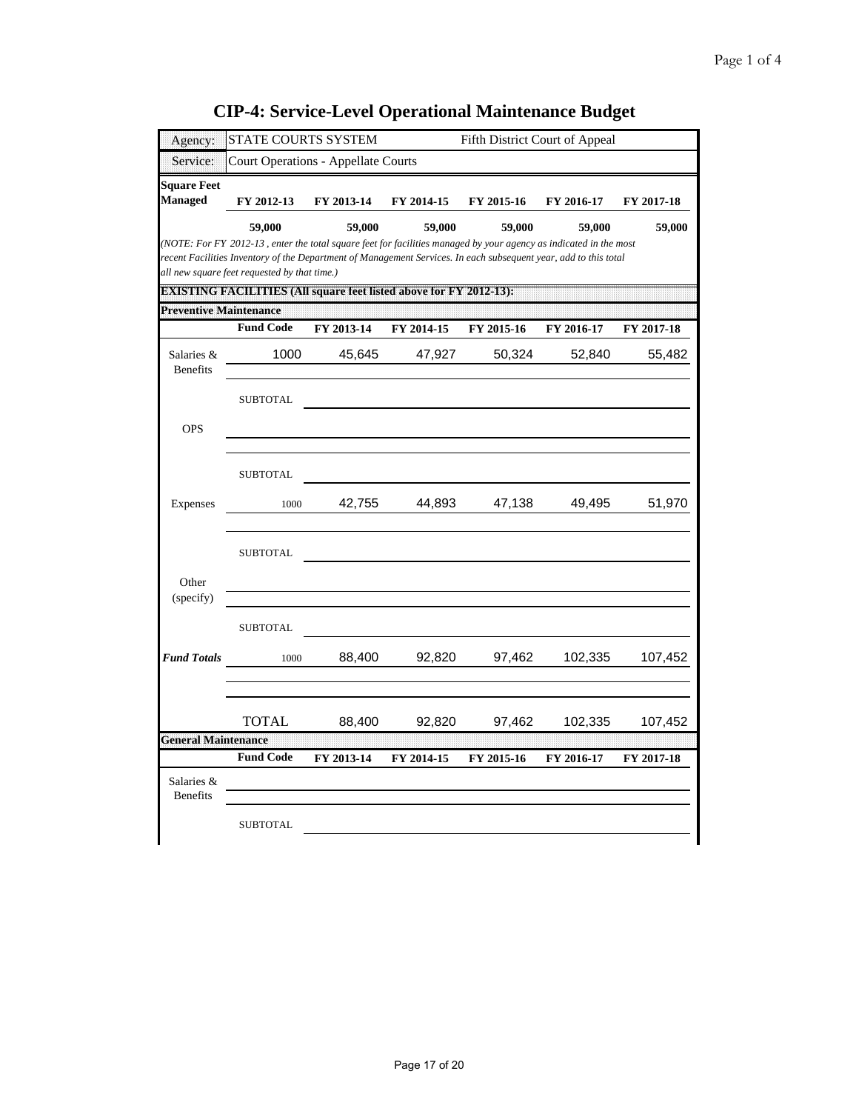| Agency:                              | STATE COURTS SYSTEM                                                                                                                                                                                                                                                                   |            |            | Fifth District Court of Appeal |            |            |
|--------------------------------------|---------------------------------------------------------------------------------------------------------------------------------------------------------------------------------------------------------------------------------------------------------------------------------------|------------|------------|--------------------------------|------------|------------|
| Service:                             | <b>Court Operations - Appellate Courts</b>                                                                                                                                                                                                                                            |            |            |                                |            |            |
| <b>Square Feet</b><br><b>Managed</b> | FY 2012-13                                                                                                                                                                                                                                                                            | FY 2013-14 | FY 2014-15 | FY 2015-16                     | FY 2016-17 | FY 2017-18 |
|                                      | 59,000                                                                                                                                                                                                                                                                                | 59,000     | 59,000     | 59,000                         | 59,000     | 59,000     |
|                                      | (NOTE: For FY 2012-13, enter the total square feet for facilities managed by your agency as indicated in the most<br>recent Facilities Inventory of the Department of Management Services. In each subsequent year, add to this total<br>all new square feet requested by that time.) |            |            |                                |            |            |
|                                      | DM STI NG 18 WAS LETER TO BE A SERVED AND A CHARGE OF A STREET OF A MEAN PARTS.                                                                                                                                                                                                       |            |            |                                |            |            |
| <b>Preventive Maintenance</b>        | <b>Fund Code</b>                                                                                                                                                                                                                                                                      | FY 2013-14 | FY 2014-15 | FY 2015-16                     | FY 2016-17 | FY 2017-18 |
| Salaries &<br><b>Benefits</b>        | 1000                                                                                                                                                                                                                                                                                  | 45,645     | 47,927     | 50,324                         | 52,840     | 55,482     |
|                                      | <b>SUBTOTAL</b>                                                                                                                                                                                                                                                                       |            |            |                                |            |            |
| <b>OPS</b>                           |                                                                                                                                                                                                                                                                                       |            |            |                                |            |            |
|                                      | <b>SUBTOTAL</b>                                                                                                                                                                                                                                                                       |            |            |                                |            |            |
| Expenses                             | 1000                                                                                                                                                                                                                                                                                  | 42,755     | 44,893     | 47,138                         | 49,495     | 51,970     |
| Other                                | <b>SUBTOTAL</b>                                                                                                                                                                                                                                                                       |            |            |                                |            |            |
| (specify)                            |                                                                                                                                                                                                                                                                                       |            |            |                                |            |            |
|                                      | <b>SUBTOTAL</b>                                                                                                                                                                                                                                                                       |            |            |                                |            |            |
| <b>Fund Totals</b>                   | 1000                                                                                                                                                                                                                                                                                  | 88,400     | 92,820     | 97,462                         | 102,335    | 107,452    |
|                                      | TOTAL                                                                                                                                                                                                                                                                                 | 88,400     | 92,820     | 97,462                         | 102,335    | 107,452    |
| <b>General Maintenance</b>           | <b>Fund Code</b>                                                                                                                                                                                                                                                                      |            |            |                                |            |            |
| Salaries &<br><b>Benefits</b>        |                                                                                                                                                                                                                                                                                       | FY 2013-14 | FY 2014-15 | FY 2015-16                     | FY 2016-17 | FY 2017-18 |
|                                      | <b>SUBTOTAL</b>                                                                                                                                                                                                                                                                       |            |            |                                |            |            |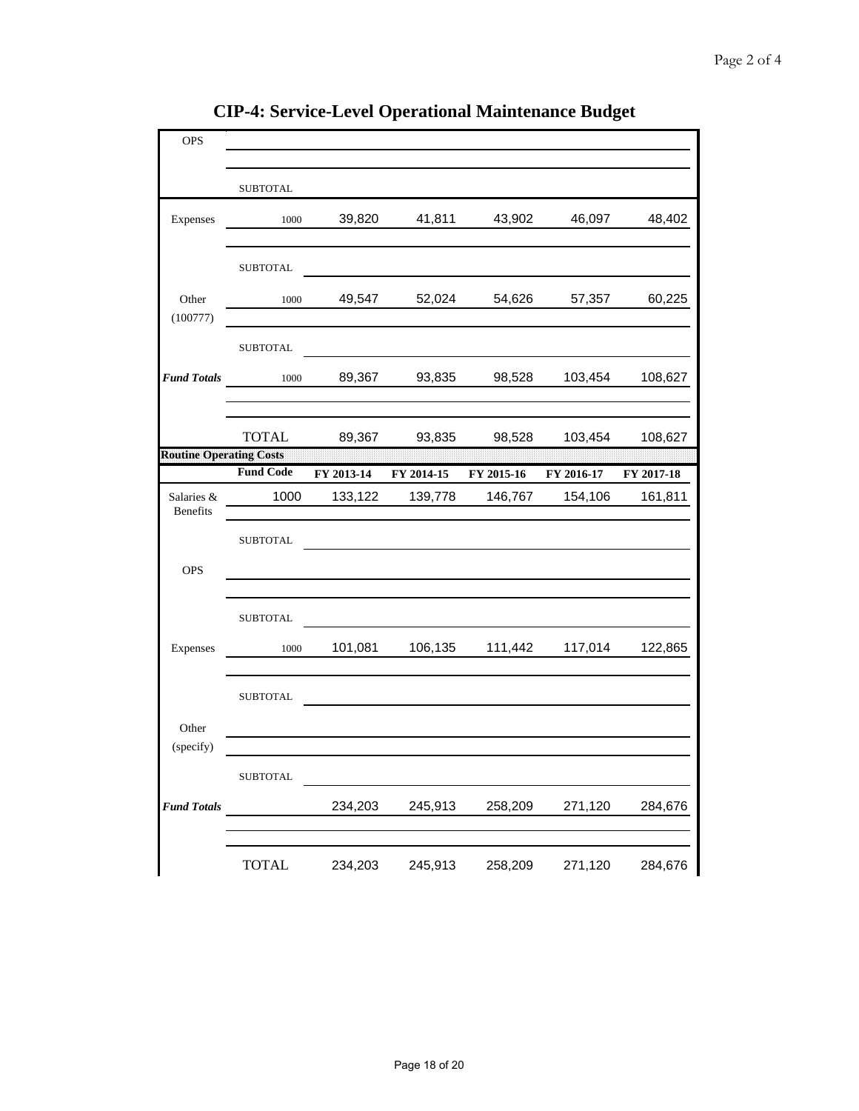| <b>OPS</b>                     |                  |            |            |            | ъ          |            |
|--------------------------------|------------------|------------|------------|------------|------------|------------|
|                                |                  |            |            |            |            |            |
|                                | <b>SUBTOTAL</b>  |            |            |            |            |            |
|                                |                  |            |            |            |            |            |
| Expenses                       | 1000             | 39,820     | 41,811     | 43,902     | 46,097     | 48,402     |
|                                |                  |            |            |            |            |            |
|                                | <b>SUBTOTAL</b>  |            |            |            |            |            |
| Other                          | 1000             | 49,547     | 52,024     | 54,626     | 57,357     | 60,225     |
| (100777)                       |                  |            |            |            |            |            |
|                                | ${\tt SUBTOTAL}$ |            |            |            |            |            |
| <b>Fund Totals</b>             | 1000             | 89,367     | 93,835     | 98,528     | 103,454    | 108,627    |
|                                |                  |            |            |            |            |            |
|                                | <b>TOTAL</b>     | 89,367     | 93,835     | 98,528     | 103,454    | 108,627    |
| <b>Routine Operating Costs</b> |                  |            |            |            |            |            |
|                                | <b>Fund Code</b> | FY 2013-14 | FY 2014-15 | FY 2015-16 | FY 2016-17 | FY 2017-18 |
| Salaries &<br>Benefits         | 1000             | 133,122    | 139,778    | 146,767    | 154,106    | 161,811    |
|                                |                  |            |            |            |            |            |
|                                | <b>SUBTOTAL</b>  |            |            |            |            |            |
| <b>OPS</b>                     |                  |            |            |            |            |            |
|                                |                  |            |            |            |            |            |
|                                | <b>SUBTOTAL</b>  |            |            |            |            |            |
| Expenses                       | 1000             | 101,081    | 106,135    | 111,442    | 117,014    | 122,865    |
|                                |                  |            |            |            |            |            |
|                                | <b>SUBTOTAL</b>  |            |            |            |            |            |
| Other                          |                  |            |            |            |            |            |
| (specify)                      |                  |            |            |            |            |            |
|                                | <b>SUBTOTAL</b>  |            |            |            |            |            |
| <b>Fund Totals</b>             |                  | 234,203    | 245,913    | 258,209    | 271,120    | 284,676    |
|                                |                  |            |            |            |            |            |
|                                | <b>TOTAL</b>     | 234,203    | 245,913    | 258,209    | 271,120    | 284,676    |

**CIP-4: Service-Level Operational Maintenance Budget**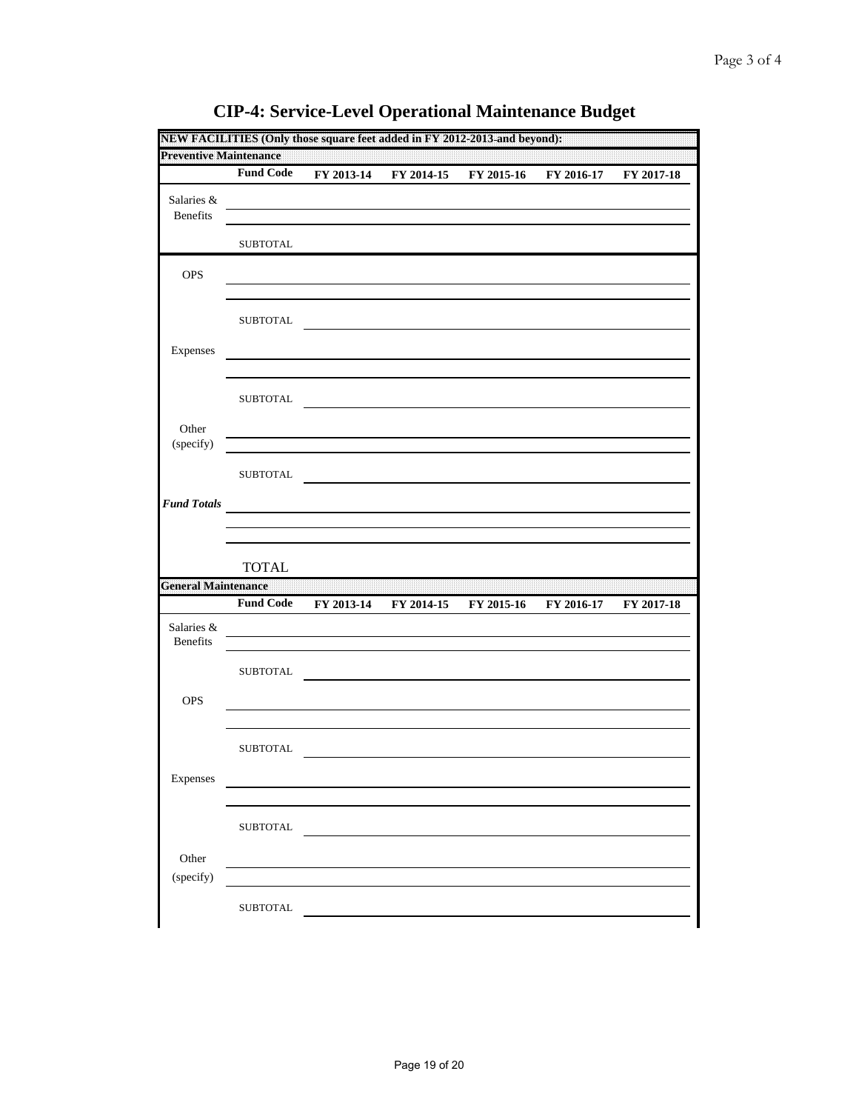| <b>Preventive Maintenance</b> |                  |            |            |            |            |            |
|-------------------------------|------------------|------------|------------|------------|------------|------------|
|                               | <b>Fund Code</b> | FY 2013-14 | FY 2014-15 | FY 2015-16 | FY 2016-17 | FY 2017-18 |
| Salaries &<br><b>Benefits</b> |                  |            |            |            |            |            |
|                               | <b>SUBTOTAL</b>  |            |            |            |            |            |
| OPS                           |                  |            |            |            |            |            |
|                               | <b>SUBTOTAL</b>  |            |            |            |            |            |
| Expenses                      |                  |            |            |            |            |            |
|                               | <b>SUBTOTAL</b>  |            |            |            |            |            |
| Other<br>(specify)            |                  |            |            |            |            |            |
|                               | <b>SUBTOTAL</b>  |            |            |            |            |            |
| <b>Fund Totals</b>            |                  |            |            |            |            |            |
|                               |                  |            |            |            |            |            |
|                               |                  |            |            |            |            |            |
|                               | <b>TOTAL</b>     |            |            |            |            |            |
|                               | <b>Fund Code</b> | FY 2013-14 | FY 2014-15 | FY 2015-16 | FY 2016-17 | FY 2017-18 |
| Salaries &<br>Benefits        |                  |            |            |            |            |            |
|                               | <b>SUBTOTAL</b>  |            |            |            |            |            |
| OPS                           |                  |            |            |            |            |            |
| <b>General Maintenance</b>    | <b>SUBTOTAL</b>  |            |            |            |            |            |
| Expenses                      |                  |            |            |            |            |            |
|                               | <b>SUBTOTAL</b>  |            |            |            |            |            |
| Other<br>(specify)            |                  |            |            |            |            |            |